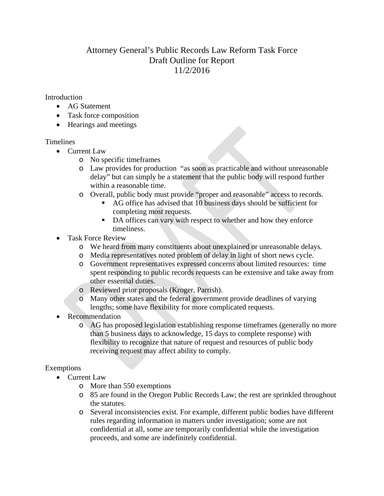# Attorney General's Public Records Law Reform Task Force Draft Outline for Report 11/2/2016

#### Introduction

- AG Statement
- Task force composition
- Hearings and meetings

## Timelines

- Current Law
	- o No specific timeframes
	- o Law provides for production "as soon as practicable and without unreasonable delay" but can simply be a statement that the public body will respond further within a reasonable time.
	- o Overall, public body must provide "proper and reasonable" access to records.
		- AG office has advised that 10 business days should be sufficient for completing most requests.
		- DA offices can vary with respect to whether and how they enforce timeliness.
- Task Force Review
	- o We heard from many constituents about unexplained or unreasonable delays.
	- o Media representatives noted problem of delay in light of short news cycle.
	- o Government representatives expressed concerns about limited resources: time spent responding to public records requests can be extensive and take away from other essential duties.
	- o Reviewed prior proposals (Kroger, Parrish).
	- o Many other states and the federal government provide deadlines of varying lengths; some have flexibility for more complicated requests.
- Recommendation
	- o AG has proposed legislation establishing response timeframes (generally no more than 5 business days to acknowledge, 15 days to complete response) with flexibility to recognize that nature of request and resources of public body receiving request may affect ability to comply.

## Exemptions

- Current Law
	- o More than 550 exemptions
	- o 85 are found in the Oregon Public Records Law; the rest are sprinkled throughout the statutes.
	- o Several inconsistencies exist. For example, different public bodies have different rules regarding information in matters under investigation; some are not confidential at all, some are temporarily confidential while the investigation proceeds, and some are indefinitely confidential.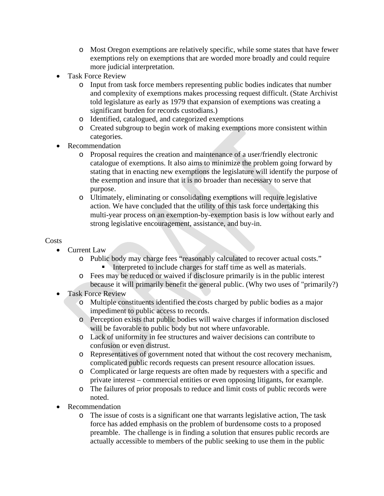- o Most Oregon exemptions are relatively specific, while some states that have fewer exemptions rely on exemptions that are worded more broadly and could require more judicial interpretation.
- Task Force Review
	- o Input from task force members representing public bodies indicates that number and complexity of exemptions makes processing request difficult. (State Archivist told legislature as early as 1979 that expansion of exemptions was creating a significant burden for records custodians.)
	- o Identified, catalogued, and categorized exemptions
	- o Created subgroup to begin work of making exemptions more consistent within categories.
- Recommendation
	- o Proposal requires the creation and maintenance of a user/friendly electronic catalogue of exemptions. It also aims to minimize the problem going forward by stating that in enacting new exemptions the legislature will identify the purpose of the exemption and insure that it is no broader than necessary to serve that purpose.
	- o Ultimately, eliminating or consolidating exemptions will require legislative action. We have concluded that the utility of this task force undertaking this multi-year process on an exemption-by-exemption basis is low without early and strong legislative encouragement, assistance, and buy-in.

### Costs

- Current Law
	- o Public body may charge fees "reasonably calculated to recover actual costs." Interpreted to include charges for staff time as well as materials.
	- o Fees may be reduced or waived if disclosure primarily is in the public interest because it will primarily benefit the general public. (Why two uses of "primarily?)
- Task Force Review
	- o Multiple constituents identified the costs charged by public bodies as a major impediment to public access to records.
	- o Perception exists that public bodies will waive charges if information disclosed will be favorable to public body but not where unfavorable.
	- o Lack of uniformity in fee structures and waiver decisions can contribute to confusion or even distrust.
	- o Representatives of government noted that without the cost recovery mechanism, complicated public records requests can present resource allocation issues.
	- o Complicated or large requests are often made by requesters with a specific and private interest – commercial entities or even opposing litigants, for example.
	- o The failures of prior proposals to reduce and limit costs of public records were noted.
- Recommendation
	- o The issue of costs is a significant one that warrants legislative action, The task force has added emphasis on the problem of burdensome costs to a proposed preamble. The challenge is in finding a solution that ensures public records are actually accessible to members of the public seeking to use them in the public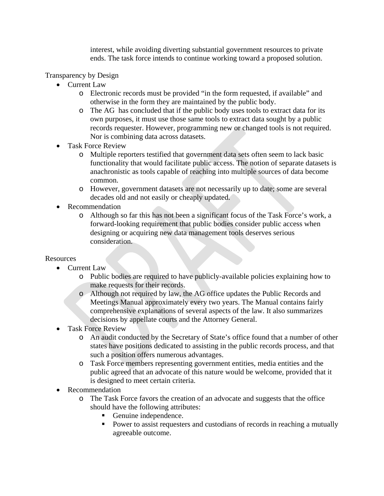interest, while avoiding diverting substantial government resources to private ends. The task force intends to continue working toward a proposed solution.

Transparency by Design

- Current Law
	- o Electronic records must be provided "in the form requested, if available" and otherwise in the form they are maintained by the public body.
	- o The AG has concluded that if the public body uses tools to extract data for its own purposes, it must use those same tools to extract data sought by a public records requester. However, programming new or changed tools is not required. Nor is combining data across datasets.
- Task Force Review
	- o Multiple reporters testified that government data sets often seem to lack basic functionality that would facilitate public access. The notion of separate datasets is anachronistic as tools capable of reaching into multiple sources of data become common.
	- o However, government datasets are not necessarily up to date; some are several decades old and not easily or cheaply updated.
- Recommendation
	- o Although so far this has not been a significant focus of the Task Force's work, a forward-looking requirement that public bodies consider public access when designing or acquiring new data management tools deserves serious consideration.

#### Resources

- Current Law
	- o Public bodies are required to have publicly-available policies explaining how to make requests for their records.
	- o Although not required by law, the AG office updates the Public Records and Meetings Manual approximately every two years. The Manual contains fairly comprehensive explanations of several aspects of the law. It also summarizes decisions by appellate courts and the Attorney General.
- Task Force Review
	- o An audit conducted by the Secretary of State's office found that a number of other states have positions dedicated to assisting in the public records process, and that such a position offers numerous advantages.
	- o Task Force members representing government entities, media entities and the public agreed that an advocate of this nature would be welcome, provided that it is designed to meet certain criteria.
- Recommendation
	- o The Task Force favors the creation of an advocate and suggests that the office should have the following attributes:
		- Genuine independence.
		- Power to assist requesters and custodians of records in reaching a mutually agreeable outcome.